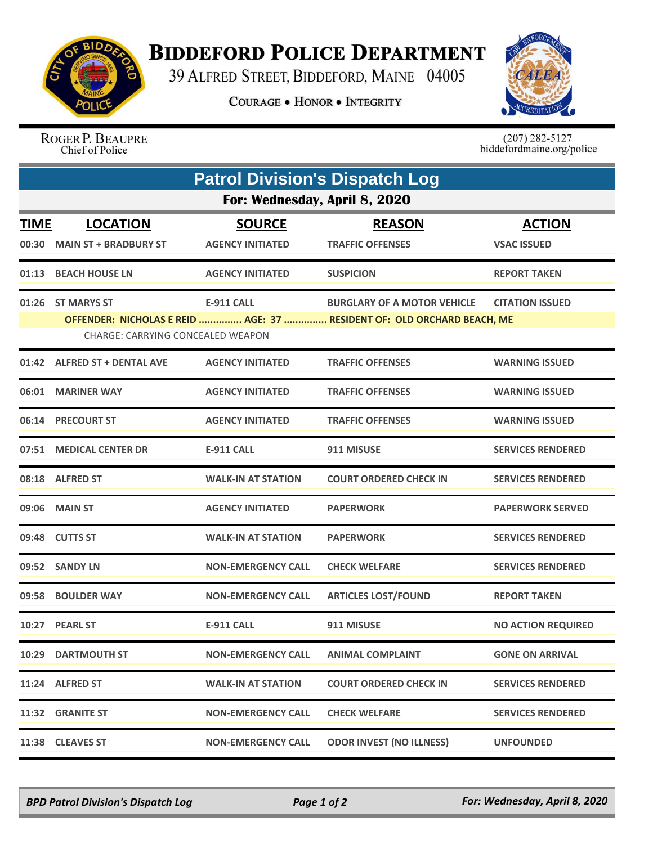

## **BIDDEFORD POLICE DEPARTMENT**

39 ALFRED STREET, BIDDEFORD, MAINE 04005

**COURAGE . HONOR . INTEGRITY** 



ROGER P. BEAUPRE Chief of Police

 $(207)$  282-5127<br>biddefordmaine.org/police

| <b>Patrol Division's Dispatch Log</b>                                                                       |                              |                           |                                    |                           |  |  |  |
|-------------------------------------------------------------------------------------------------------------|------------------------------|---------------------------|------------------------------------|---------------------------|--|--|--|
| For: Wednesday, April 8, 2020                                                                               |                              |                           |                                    |                           |  |  |  |
| <b>TIME</b>                                                                                                 | <b>LOCATION</b>              | <b>SOURCE</b>             | <b>REASON</b>                      | <b>ACTION</b>             |  |  |  |
|                                                                                                             | 00:30 MAIN ST + BRADBURY ST  | <b>AGENCY INITIATED</b>   | <b>TRAFFIC OFFENSES</b>            | <b>VSAC ISSUED</b>        |  |  |  |
|                                                                                                             | 01:13 BEACH HOUSE LN         | <b>AGENCY INITIATED</b>   | <b>SUSPICION</b>                   | <b>REPORT TAKEN</b>       |  |  |  |
|                                                                                                             | 01:26 ST MARYS ST            | <b>E-911 CALL</b>         | <b>BURGLARY OF A MOTOR VEHICLE</b> | <b>CITATION ISSUED</b>    |  |  |  |
| OFFENDER: NICHOLAS E REID  AGE: 37  RESIDENT OF: OLD ORCHARD BEACH, ME<br>CHARGE: CARRYING CONCEALED WEAPON |                              |                           |                                    |                           |  |  |  |
|                                                                                                             | 01:42 ALFRED ST + DENTAL AVE | <b>AGENCY INITIATED</b>   | <b>TRAFFIC OFFENSES</b>            | <b>WARNING ISSUED</b>     |  |  |  |
|                                                                                                             | 06:01 MARINER WAY            | <b>AGENCY INITIATED</b>   | <b>TRAFFIC OFFENSES</b>            | <b>WARNING ISSUED</b>     |  |  |  |
|                                                                                                             | <b>06:14 PRECOURT ST</b>     | <b>AGENCY INITIATED</b>   | <b>TRAFFIC OFFENSES</b>            | <b>WARNING ISSUED</b>     |  |  |  |
|                                                                                                             | 07:51 MEDICAL CENTER DR      | <b>E-911 CALL</b>         | 911 MISUSE                         | <b>SERVICES RENDERED</b>  |  |  |  |
|                                                                                                             | 08:18 ALFRED ST              | <b>WALK-IN AT STATION</b> | <b>COURT ORDERED CHECK IN</b>      | <b>SERVICES RENDERED</b>  |  |  |  |
|                                                                                                             | 09:06 MAIN ST                | <b>AGENCY INITIATED</b>   | <b>PAPERWORK</b>                   | <b>PAPERWORK SERVED</b>   |  |  |  |
|                                                                                                             | 09:48 CUTTS ST               | <b>WALK-IN AT STATION</b> | <b>PAPERWORK</b>                   | <b>SERVICES RENDERED</b>  |  |  |  |
|                                                                                                             | 09:52 SANDY LN               | <b>NON-EMERGENCY CALL</b> | <b>CHECK WELFARE</b>               | <b>SERVICES RENDERED</b>  |  |  |  |
|                                                                                                             | 09:58 BOULDER WAY            | <b>NON-EMERGENCY CALL</b> | <b>ARTICLES LOST/FOUND</b>         | <b>REPORT TAKEN</b>       |  |  |  |
|                                                                                                             | 10:27 PEARL ST               | <b>E-911 CALL</b>         | 911 MISUSE                         | <b>NO ACTION REQUIRED</b> |  |  |  |
| 10:29                                                                                                       | <b>DARTMOUTH ST</b>          | <b>NON-EMERGENCY CALL</b> | <b>ANIMAL COMPLAINT</b>            | <b>GONE ON ARRIVAL</b>    |  |  |  |
|                                                                                                             | 11:24 ALFRED ST              | <b>WALK-IN AT STATION</b> | <b>COURT ORDERED CHECK IN</b>      | <b>SERVICES RENDERED</b>  |  |  |  |
|                                                                                                             | 11:32 GRANITE ST             | <b>NON-EMERGENCY CALL</b> | <b>CHECK WELFARE</b>               | <b>SERVICES RENDERED</b>  |  |  |  |
|                                                                                                             | 11:38 CLEAVES ST             | <b>NON-EMERGENCY CALL</b> | <b>ODOR INVEST (NO ILLNESS)</b>    | <b>UNFOUNDED</b>          |  |  |  |